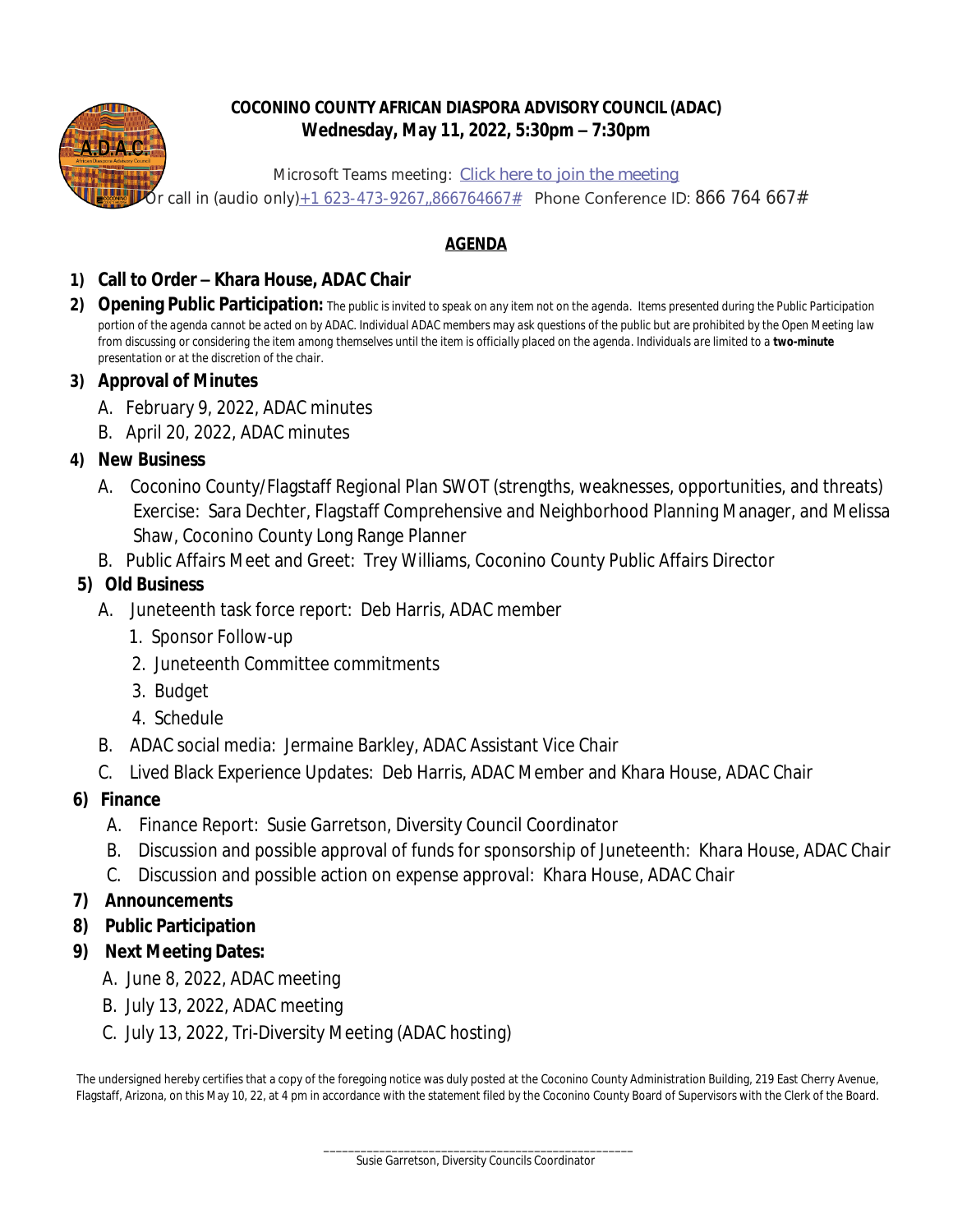

## **COCONINO COUNTY AFRICAN DIASPORA ADVISORY COUNCIL (ADAC) Wednesday, May 11, 2022, 5:30pm – 7:30pm**

Microsoft Teams meeting: **[Click here to join the meeting](https://teams.microsoft.com/l/meetup-join/19%3ameeting_OTgzYWExNDItY2UyZC00ZTUyLWFlZDEtMDY3OGVmNzIxYjAw%40thread.v2/0?context=%7b%22Tid%22%3a%2225b21c5d-3fd9-40b5-b4ed-a38aefd2ebc6%22%2c%22Oid%22%3a%2298eba707-7290-4d2f-a682-85cc8763b254%22%7d)**  $5$ r call in (audio only) $_{\pm}$ 1 623-473-9267,,866764667# Phone Conference ID: 866 764 667#

# **AGENDA**

## **1) Call to Order – Khara House, ADAC Chair**

**2) Opening Public Participation:** *The public is invited to speak on any item not on the agenda. Items presented during the Public Participation portion of the agenda cannot be acted on by ADAC. Individual ADAC members may ask questions of the public but are prohibited by the Open Meeting law from discussing or considering the item among themselves until the item is officially placed on the agenda. Individuals are limited to a two-minute presentation or at the discretion of the chair.*

#### **3) Approval of Minutes**

- A. February 9, 2022, ADAC minutes
- B. April 20, 2022, ADAC minutes

## **4) New Business**

- A. Coconino County/Flagstaff Regional Plan SWOT (strengths, weaknesses, opportunities, and threats) Exercise: Sara Dechter, Flagstaff Comprehensive and Neighborhood Planning Manager, and Melissa Shaw, Coconino County Long Range Planner
- B. Public Affairs Meet and Greet: Trey Williams, Coconino County Public Affairs Director

## **5) Old Business**

- A. Juneteenth task force report: Deb Harris, ADAC member
	- 1. Sponsor Follow-up
	- 2. Juneteenth Committee commitments
	- 3. Budget
	- 4. Schedule
- B. ADAC social media: Jermaine Barkley, ADAC Assistant Vice Chair
- C. Lived Black Experience Updates: Deb Harris, ADAC Member and Khara House, ADAC Chair
- **6) Finance**
	- A. Finance Report: Susie Garretson, Diversity Council Coordinator
	- B. Discussion and possible approval of funds for sponsorship of Juneteenth: Khara House, ADAC Chair
	- C. Discussion and possible action on expense approval: Khara House, ADAC Chair

## **7) Announcements**

- **8) Public Participation**
- **9) Next Meeting Dates:**
	- A. June 8, 2022, ADAC meeting
	- B. July 13, 2022, ADAC meeting
	- C. July 13, 2022, Tri-Diversity Meeting (ADAC hosting)

The undersigned hereby certifies that a copy of the foregoing notice was duly posted at the Coconino County Administration Building, 219 East Cherry Avenue, Flagstaff, Arizona, on this May 10, 22, at 4 pm in accordance with the statement filed by the Coconino County Board of Supervisors with the Clerk of the Board.